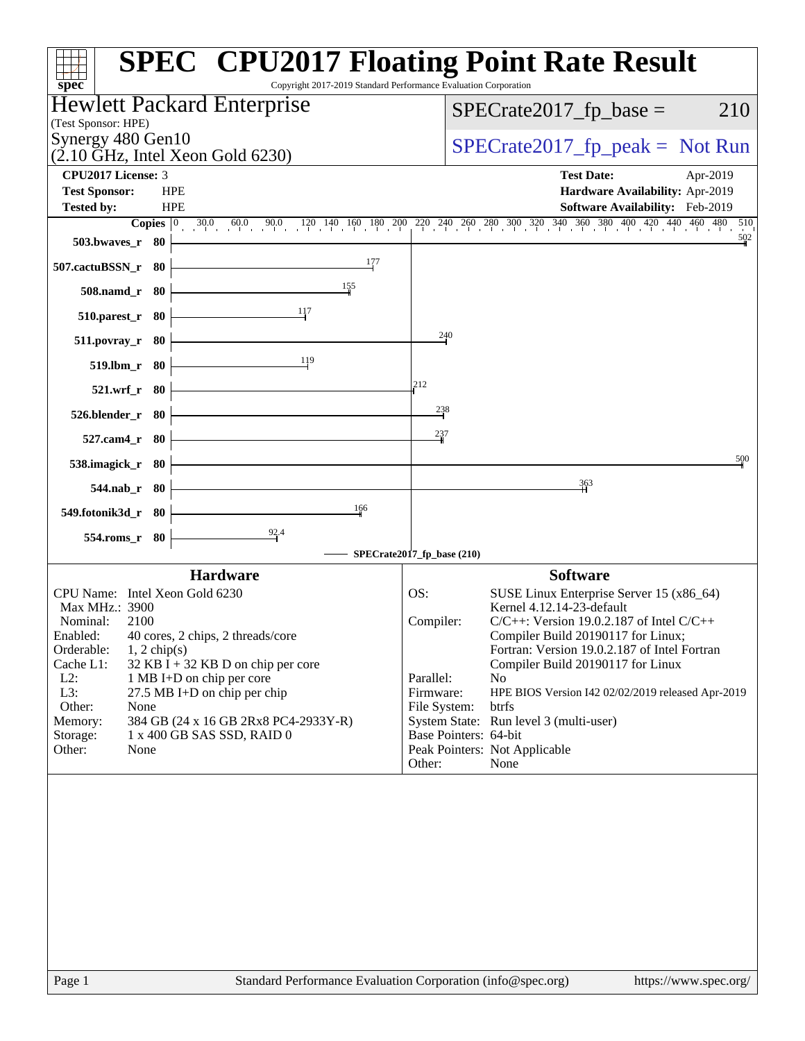| Copyright 2017-2019 Standard Performance Evaluation Corporation<br>spec <sup>®</sup> | <b>SPEC<sup>®</sup> CPU2017 Floating Point Rate Result</b>                                                                           |
|--------------------------------------------------------------------------------------|--------------------------------------------------------------------------------------------------------------------------------------|
| Hewlett Packard Enterprise<br>(Test Sponsor: HPE)                                    | $SPECrate2017_fp\_base =$<br>210                                                                                                     |
| Synergy 480 Gen10<br>$(2.10 \text{ GHz}, \text{Intel Xeon Gold } 6230)$              | $SPECTate2017_fp\_peak = Not Run$                                                                                                    |
| <b>CPU2017 License: 3</b>                                                            | <b>Test Date:</b><br>Apr-2019                                                                                                        |
| <b>HPE</b><br><b>Test Sponsor:</b>                                                   | Hardware Availability: Apr-2019                                                                                                      |
| <b>HPE</b><br><b>Tested by:</b>                                                      | Software Availability: Feb-2019                                                                                                      |
| $30.0$ 60.0 90.0 120 140 160 180 200<br>Copies $ 0\rangle$                           | $\begin{array}{cccccccccccccc} 220 & 240 & 260 & 280 & 300 & 320 & 340 & 360 & 380 & 400 & 420 & 440 & 460 & 480 \end{array}$<br>510 |
| 503.bwaves_r 80                                                                      | 502                                                                                                                                  |
| 177<br>507.cactuBSSN_r 80                                                            |                                                                                                                                      |
| 155<br>508.namd_r 80                                                                 |                                                                                                                                      |
| <u>1</u> 17<br>$510.parest_r$ 80                                                     |                                                                                                                                      |
| 511.povray_r<br>-80                                                                  | 240                                                                                                                                  |
| 119<br>519.lbm_r 80                                                                  |                                                                                                                                      |
| 521.wrf_r 80                                                                         | 212                                                                                                                                  |
| 526.blender_r 80                                                                     | $\frac{238}{1}$                                                                                                                      |
| 527.cam4_r<br>- 80                                                                   | 237                                                                                                                                  |
| 538.imagick_r 80                                                                     | 500                                                                                                                                  |
| $544$ .nab_r 80                                                                      | 363                                                                                                                                  |
| 166<br>549.fotonik3d_r 80                                                            |                                                                                                                                      |
| $\frac{92.4}{7}$<br>554.roms_r 80                                                    |                                                                                                                                      |
|                                                                                      | SPECrate2017_fp_base (210)                                                                                                           |
| <b>Hardware</b>                                                                      | <b>Software</b>                                                                                                                      |
| CPU Name: Intel Xeon Gold 6230                                                       | SUSE Linux Enterprise Server 15 (x86_64)<br>OS:                                                                                      |
| Max MHz.: 3900                                                                       | Kernel 4.12.14-23-default                                                                                                            |
| Nominal:<br>2100<br>Enabled:<br>40 cores, 2 chips, 2 threads/core                    | $C/C++$ : Version 19.0.2.187 of Intel $C/C++$<br>Compiler:<br>Compiler Build 20190117 for Linux;                                     |
| Orderable:<br>$1, 2$ chip(s)                                                         | Fortran: Version 19.0.2.187 of Intel Fortran                                                                                         |
| $32$ KB I + 32 KB D on chip per core<br>Cache L1:                                    | Compiler Build 20190117 for Linux                                                                                                    |
| $L2$ :<br>1 MB I+D on chip per core                                                  | Parallel:<br>N <sub>o</sub>                                                                                                          |
| L3:<br>27.5 MB I+D on chip per chip<br>Other:<br>None                                | Firmware:<br>HPE BIOS Version I42 02/02/2019 released Apr-2019<br>File System:<br>btrfs                                              |
| 384 GB (24 x 16 GB 2Rx8 PC4-2933Y-R)<br>Memory:                                      | System State: Run level 3 (multi-user)                                                                                               |
| Storage:<br>1 x 400 GB SAS SSD, RAID 0                                               | Base Pointers: 64-bit                                                                                                                |
| Other:<br>None                                                                       | Peak Pointers: Not Applicable                                                                                                        |
|                                                                                      | Other:<br>None                                                                                                                       |
|                                                                                      |                                                                                                                                      |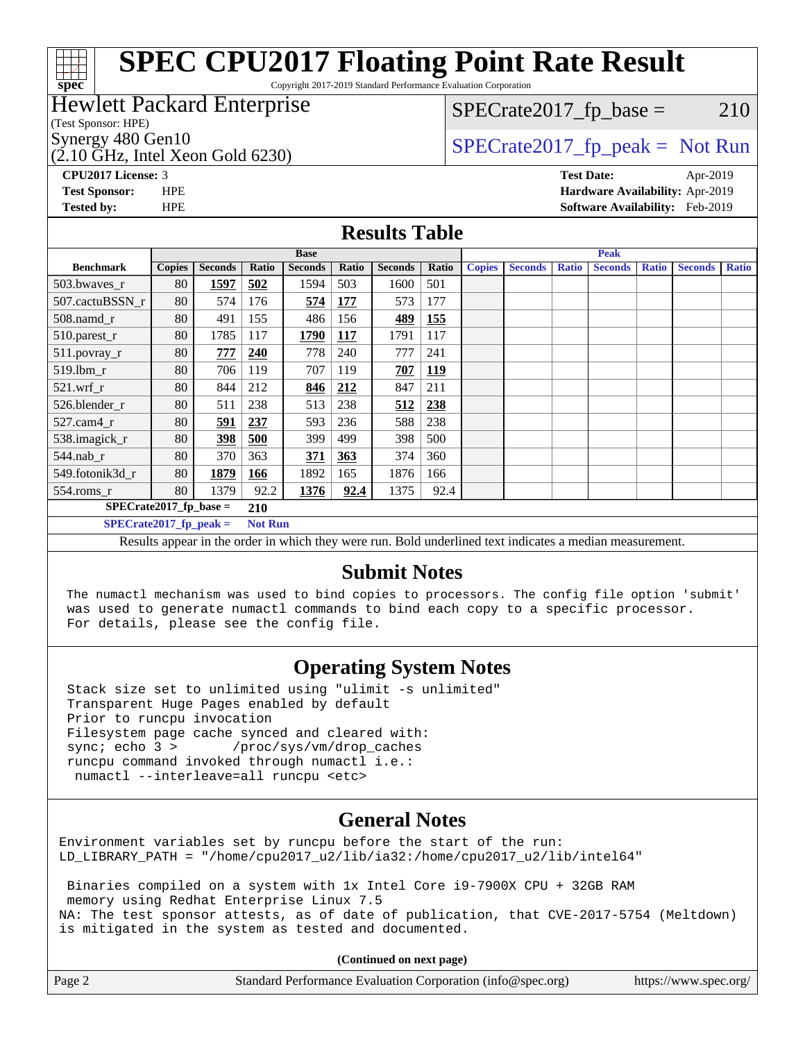# **[spec](http://www.spec.org/)**

# **[SPEC CPU2017 Floating Point Rate Result](http://www.spec.org/auto/cpu2017/Docs/result-fields.html#SPECCPU2017FloatingPointRateResult)**

Copyright 2017-2019 Standard Performance Evaluation Corporation

### Hewlett Packard Enterprise

(Test Sponsor: HPE)

 $(2.10 \text{ GHz}, \text{Intel Xeon}$  Gold 6230)

 $SPECTate2017<sub>fr</sub> base = 210$ 

### Synergy 480 Gen10  $SPECrate2017$  fp\_peak = Not Run

**[CPU2017 License:](http://www.spec.org/auto/cpu2017/Docs/result-fields.html#CPU2017License)** 3 **[Test Date:](http://www.spec.org/auto/cpu2017/Docs/result-fields.html#TestDate)** Apr-2019 **[Test Sponsor:](http://www.spec.org/auto/cpu2017/Docs/result-fields.html#TestSponsor)** HPE **[Hardware Availability:](http://www.spec.org/auto/cpu2017/Docs/result-fields.html#HardwareAvailability)** Apr-2019 **[Tested by:](http://www.spec.org/auto/cpu2017/Docs/result-fields.html#Testedby)** HPE **[Software Availability:](http://www.spec.org/auto/cpu2017/Docs/result-fields.html#SoftwareAvailability)** Feb-2019

### **[Results Table](http://www.spec.org/auto/cpu2017/Docs/result-fields.html#ResultsTable)**

| <b>Base</b>                                                                                                                                                                                                                                                                                               |               |                |       |                | <b>Peak</b> |                |       |               |                |              |                |              |                |              |
|-----------------------------------------------------------------------------------------------------------------------------------------------------------------------------------------------------------------------------------------------------------------------------------------------------------|---------------|----------------|-------|----------------|-------------|----------------|-------|---------------|----------------|--------------|----------------|--------------|----------------|--------------|
| <b>Benchmark</b>                                                                                                                                                                                                                                                                                          | <b>Copies</b> | <b>Seconds</b> | Ratio | <b>Seconds</b> | Ratio       | <b>Seconds</b> | Ratio | <b>Copies</b> | <b>Seconds</b> | <b>Ratio</b> | <b>Seconds</b> | <b>Ratio</b> | <b>Seconds</b> | <b>Ratio</b> |
| 503.bwayes r                                                                                                                                                                                                                                                                                              | 80            | 1597           | 502   | 1594           | 503         | 1600           | 501   |               |                |              |                |              |                |              |
| 507.cactuBSSN r                                                                                                                                                                                                                                                                                           | 80            | 574            | 176   | 574            | <b>177</b>  | 573            | 177   |               |                |              |                |              |                |              |
| $508$ .namd $r$                                                                                                                                                                                                                                                                                           | 80            | 491            | 155   | 486            | 156         | 489            | 155   |               |                |              |                |              |                |              |
| 510.parest_r                                                                                                                                                                                                                                                                                              | 80            | 1785           | 117   | 1790           | <b>117</b>  | 1791           | 117   |               |                |              |                |              |                |              |
| 511.povray_r                                                                                                                                                                                                                                                                                              | 80            | 777            | 240   | 778            | 240         | 777            | 241   |               |                |              |                |              |                |              |
| 519.lbm r                                                                                                                                                                                                                                                                                                 | 80            | 706            | 119   | 707            | 119         | 707            | 119   |               |                |              |                |              |                |              |
| $521$ .wrf r                                                                                                                                                                                                                                                                                              | 80            | 844            | 212   | 846            | 212         | 847            | 211   |               |                |              |                |              |                |              |
| 526.blender r                                                                                                                                                                                                                                                                                             | 80            | 511            | 238   | 513            | 238         | 512            | 238   |               |                |              |                |              |                |              |
| 527.cam4 r                                                                                                                                                                                                                                                                                                | 80            | 591            | 237   | 593            | 236         | 588            | 238   |               |                |              |                |              |                |              |
| 538.imagick_r                                                                                                                                                                                                                                                                                             | 80            | <u>398</u>     | 500   | 399            | 499         | 398            | 500   |               |                |              |                |              |                |              |
| 544.nab r                                                                                                                                                                                                                                                                                                 | 80            | 370            | 363   | 371            | 363         | 374            | 360   |               |                |              |                |              |                |              |
| 549.fotonik3d r                                                                                                                                                                                                                                                                                           | 80            | 1879           | 166   | 1892           | 165         | 1876           | 166   |               |                |              |                |              |                |              |
| $554$ .roms_r                                                                                                                                                                                                                                                                                             | 80            | 1379           | 92.2  | 1376           | 92.4        | 1375           | 92.4  |               |                |              |                |              |                |              |
| $SPECrate2017$ fp base =<br>210                                                                                                                                                                                                                                                                           |               |                |       |                |             |                |       |               |                |              |                |              |                |              |
| $SPECrate2017_fp\_peak =$<br><b>Not Run</b>                                                                                                                                                                                                                                                               |               |                |       |                |             |                |       |               |                |              |                |              |                |              |
| $\mathbf{r}$ , and the set of the set of the set of the set of the set of the set of the set of the set of the set of the set of the set of the set of the set of the set of the set of the set of the set of the set of the set<br>$\cdots$<br>.<br>$\mathbf{r}$<br>$\sim$ $\sim$<br>$\bullet$ $\bullet$ |               |                |       |                |             |                |       |               |                |              |                |              |                |              |

Results appear in the [order in which they were run.](http://www.spec.org/auto/cpu2017/Docs/result-fields.html#RunOrder) Bold underlined text [indicates a median measurement.](http://www.spec.org/auto/cpu2017/Docs/result-fields.html#Median)

### **[Submit Notes](http://www.spec.org/auto/cpu2017/Docs/result-fields.html#SubmitNotes)**

 The numactl mechanism was used to bind copies to processors. The config file option 'submit' was used to generate numactl commands to bind each copy to a specific processor. For details, please see the config file.

### **[Operating System Notes](http://www.spec.org/auto/cpu2017/Docs/result-fields.html#OperatingSystemNotes)**

 Stack size set to unlimited using "ulimit -s unlimited" Transparent Huge Pages enabled by default Prior to runcpu invocation Filesystem page cache synced and cleared with: sync; echo 3 > /proc/sys/vm/drop\_caches runcpu command invoked through numactl i.e.: numactl --interleave=all runcpu <etc>

### **[General Notes](http://www.spec.org/auto/cpu2017/Docs/result-fields.html#GeneralNotes)**

Environment variables set by runcpu before the start of the run: LD\_LIBRARY\_PATH = "/home/cpu2017\_u2/lib/ia32:/home/cpu2017\_u2/lib/intel64"

 Binaries compiled on a system with 1x Intel Core i9-7900X CPU + 32GB RAM memory using Redhat Enterprise Linux 7.5 NA: The test sponsor attests, as of date of publication, that CVE-2017-5754 (Meltdown) is mitigated in the system as tested and documented.

**(Continued on next page)**

| Page 2 | Standard Performance Evaluation Corporation (info@spec.org) | https://www.spec.org/ |
|--------|-------------------------------------------------------------|-----------------------|
|--------|-------------------------------------------------------------|-----------------------|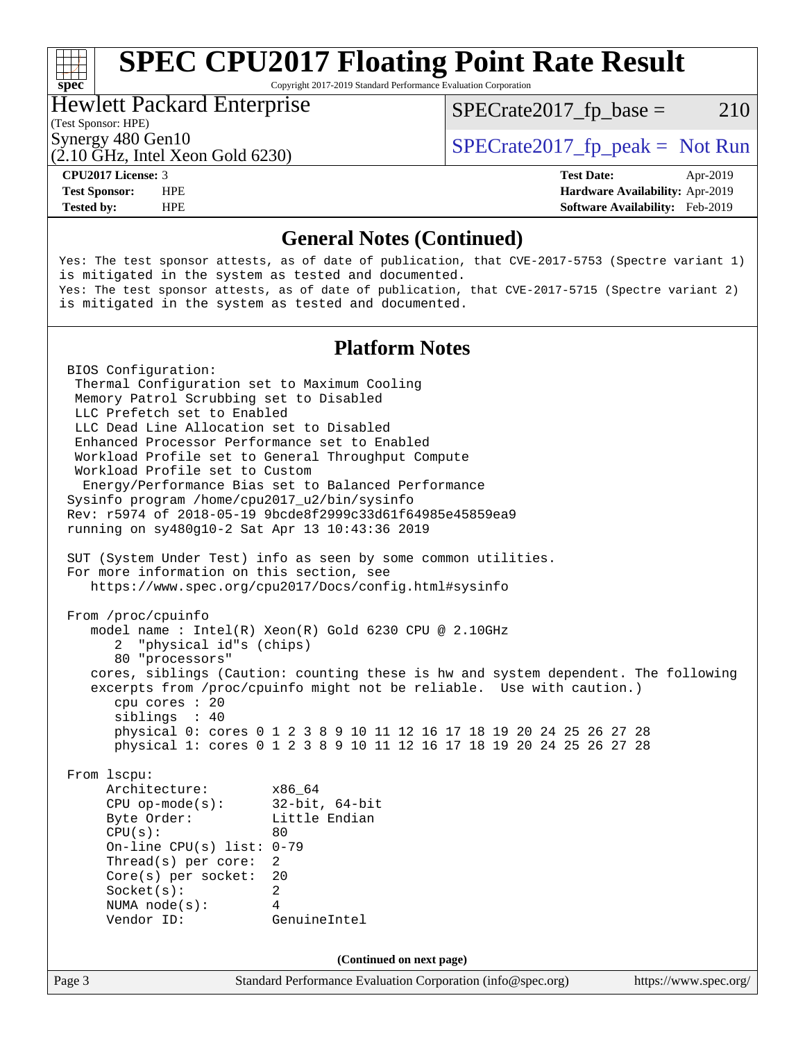# **[SPEC CPU2017 Floating Point Rate Result](http://www.spec.org/auto/cpu2017/Docs/result-fields.html#SPECCPU2017FloatingPointRateResult)**

Copyright 2017-2019 Standard Performance Evaluation Corporation

### Hewlett Packard Enterprise

 $SPECTate2017<sub>fr</sub> base = 210$ 

### (Test Sponsor: HPE)

(2.10 GHz, Intel Xeon Gold 6230)

Synergy 480 Gen10<br>  $SPECrate2017$  fp\_peak = Not Run

**[spec](http://www.spec.org/)**<sup>®</sup>

**[Tested by:](http://www.spec.org/auto/cpu2017/Docs/result-fields.html#Testedby)** HPE **[Software Availability:](http://www.spec.org/auto/cpu2017/Docs/result-fields.html#SoftwareAvailability)** Feb-2019

**[CPU2017 License:](http://www.spec.org/auto/cpu2017/Docs/result-fields.html#CPU2017License)** 3 **[Test Date:](http://www.spec.org/auto/cpu2017/Docs/result-fields.html#TestDate)** Apr-2019 **[Test Sponsor:](http://www.spec.org/auto/cpu2017/Docs/result-fields.html#TestSponsor)** HPE **[Hardware Availability:](http://www.spec.org/auto/cpu2017/Docs/result-fields.html#HardwareAvailability)** Apr-2019

### **[General Notes \(Continued\)](http://www.spec.org/auto/cpu2017/Docs/result-fields.html#GeneralNotes)**

Yes: The test sponsor attests, as of date of publication, that CVE-2017-5753 (Spectre variant 1) is mitigated in the system as tested and documented. Yes: The test sponsor attests, as of date of publication, that CVE-2017-5715 (Spectre variant 2) is mitigated in the system as tested and documented.

### **[Platform Notes](http://www.spec.org/auto/cpu2017/Docs/result-fields.html#PlatformNotes)**

Page 3 Standard Performance Evaluation Corporation [\(info@spec.org\)](mailto:info@spec.org) <https://www.spec.org/> BIOS Configuration: Thermal Configuration set to Maximum Cooling Memory Patrol Scrubbing set to Disabled LLC Prefetch set to Enabled LLC Dead Line Allocation set to Disabled Enhanced Processor Performance set to Enabled Workload Profile set to General Throughput Compute Workload Profile set to Custom Energy/Performance Bias set to Balanced Performance Sysinfo program /home/cpu2017\_u2/bin/sysinfo Rev: r5974 of 2018-05-19 9bcde8f2999c33d61f64985e45859ea9 running on sy480g10-2 Sat Apr 13 10:43:36 2019 SUT (System Under Test) info as seen by some common utilities. For more information on this section, see <https://www.spec.org/cpu2017/Docs/config.html#sysinfo> From /proc/cpuinfo model name : Intel(R) Xeon(R) Gold 6230 CPU @ 2.10GHz 2 "physical id"s (chips) 80 "processors" cores, siblings (Caution: counting these is hw and system dependent. The following excerpts from /proc/cpuinfo might not be reliable. Use with caution.) cpu cores : 20 siblings : 40 physical 0: cores 0 1 2 3 8 9 10 11 12 16 17 18 19 20 24 25 26 27 28 physical 1: cores 0 1 2 3 8 9 10 11 12 16 17 18 19 20 24 25 26 27 28 From lscpu: Architecture: x86\_64 CPU op-mode(s): 32-bit, 64-bit Byte Order: Little Endian  $CPU(s):$  80 On-line CPU(s) list: 0-79 Thread(s) per core: 2 Core(s) per socket: 20 Socket(s): 2 NUMA node(s): 4 Vendor ID: GenuineIntel **(Continued on next page)**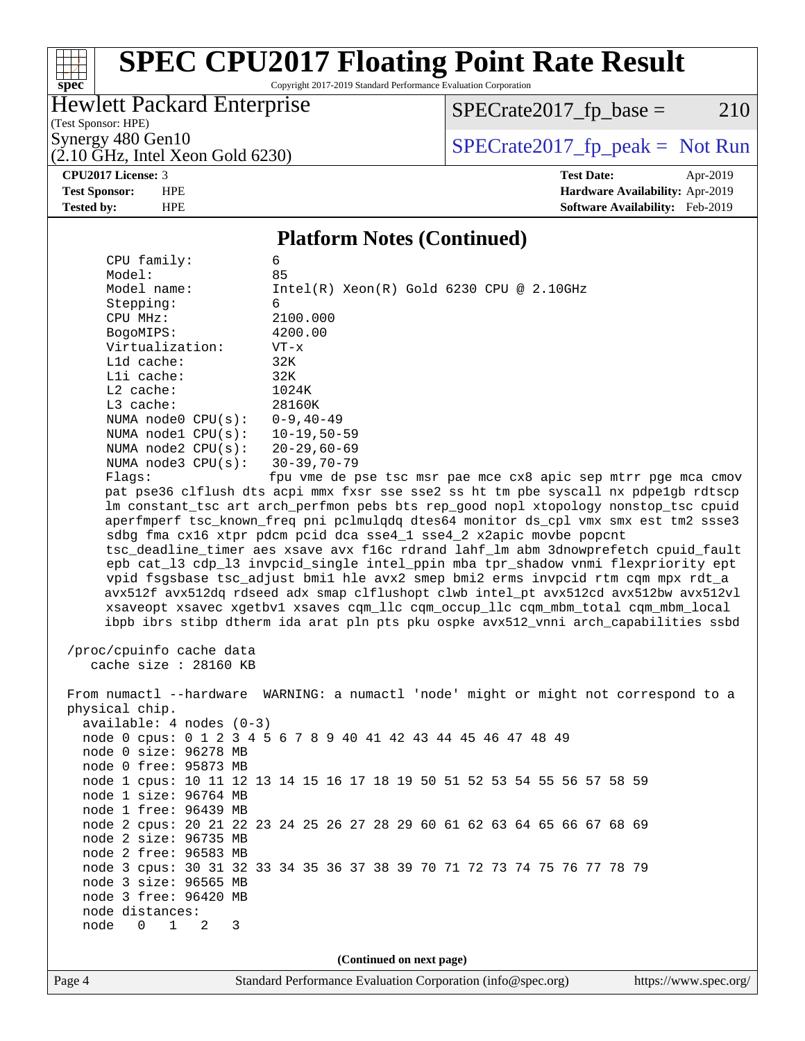### $\pm$ **[spec](http://www.spec.org/)**

# **[SPEC CPU2017 Floating Point Rate Result](http://www.spec.org/auto/cpu2017/Docs/result-fields.html#SPECCPU2017FloatingPointRateResult)**

Copyright 2017-2019 Standard Performance Evaluation Corporation

### Hewlett Packard Enterprise

 $SPECrate2017_fp\_base = 210$ 

(Test Sponsor: HPE)  $(2.10 \text{ GHz}, \text{Intel Xeon Gold } 6230)$ 

Synergy 480 Gen10<br>  $\begin{array}{c|c}\n\text{SPECTate2017\_fp\_peak} = \text{Not Run} \\
\hline\n\text{SPECTate2017\_fp\_peak} = \text{Not Run} \\
\end{array}$ 

**[CPU2017 License:](http://www.spec.org/auto/cpu2017/Docs/result-fields.html#CPU2017License)** 3 **[Test Date:](http://www.spec.org/auto/cpu2017/Docs/result-fields.html#TestDate)** Apr-2019 **[Test Sponsor:](http://www.spec.org/auto/cpu2017/Docs/result-fields.html#TestSponsor)** HPE **[Hardware Availability:](http://www.spec.org/auto/cpu2017/Docs/result-fields.html#HardwareAvailability)** Apr-2019 **[Tested by:](http://www.spec.org/auto/cpu2017/Docs/result-fields.html#Testedby)** HPE **[Software Availability:](http://www.spec.org/auto/cpu2017/Docs/result-fields.html#SoftwareAvailability)** Feb-2019

### **[Platform Notes \(Continued\)](http://www.spec.org/auto/cpu2017/Docs/result-fields.html#PlatformNotes)**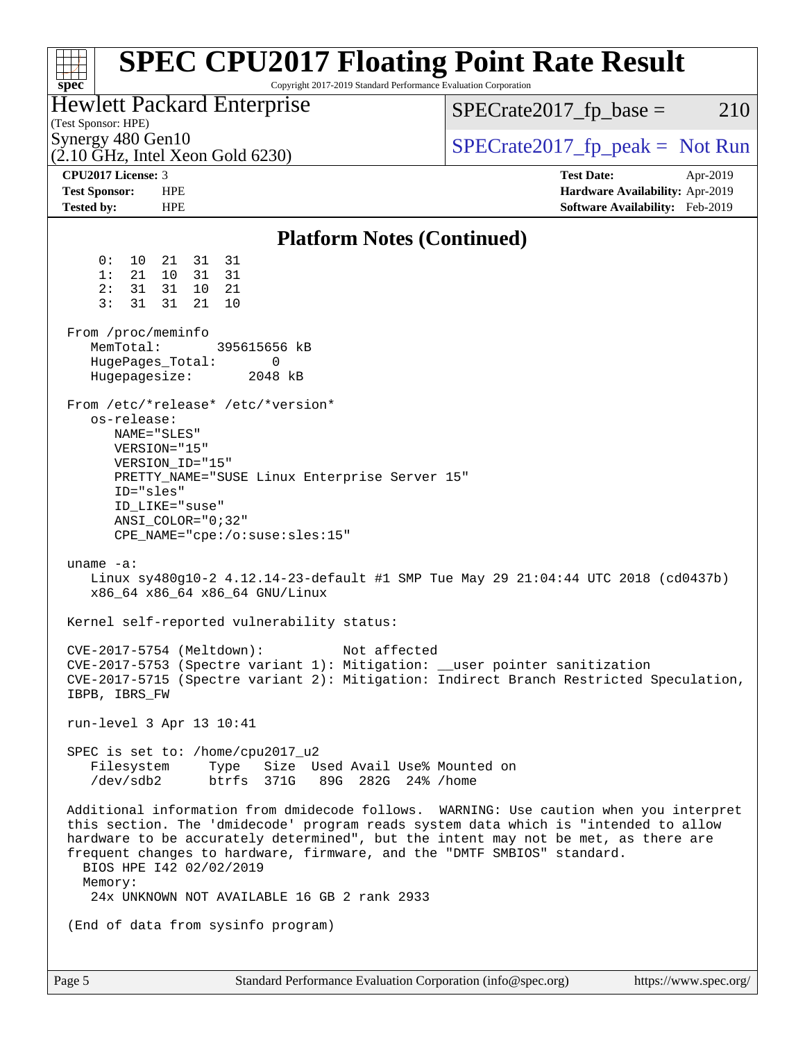| <b>SPEC CPU2017 Floating Point Rate Result</b><br>Copyright 2017-2019 Standard Performance Evaluation Corporation<br>spec <sup>®</sup>                                                                                                                                                                                                                                                                                              |                                                                                                     |  |  |  |  |
|-------------------------------------------------------------------------------------------------------------------------------------------------------------------------------------------------------------------------------------------------------------------------------------------------------------------------------------------------------------------------------------------------------------------------------------|-----------------------------------------------------------------------------------------------------|--|--|--|--|
| Hewlett Packard Enterprise<br>(Test Sponsor: HPE)                                                                                                                                                                                                                                                                                                                                                                                   | $SPECrate2017_fp\_base =$<br>210                                                                    |  |  |  |  |
| Synergy 480 Gen10<br>$(2.10 \text{ GHz}, \text{Intel Xeon Gold } 6230)$                                                                                                                                                                                                                                                                                                                                                             | $SPECrate2017fr peak = Not Run$                                                                     |  |  |  |  |
| CPU <sub>2017</sub> License: 3<br><b>Test Sponsor:</b><br><b>HPE</b><br><b>Tested by:</b><br><b>HPE</b>                                                                                                                                                                                                                                                                                                                             | <b>Test Date:</b><br>Apr-2019<br>Hardware Availability: Apr-2019<br>Software Availability: Feb-2019 |  |  |  |  |
| <b>Platform Notes (Continued)</b>                                                                                                                                                                                                                                                                                                                                                                                                   |                                                                                                     |  |  |  |  |
| 0:<br>31 31<br>10<br>21<br>31<br>1:<br>21<br>10<br>31<br>31<br>31<br>10 21<br>2:<br>3:<br>31<br>21<br>31<br>10<br>From /proc/meminfo<br>MemTotal:<br>395615656 kB                                                                                                                                                                                                                                                                   |                                                                                                     |  |  |  |  |
| HugePages_Total:<br>0<br>Hugepagesize:<br>2048 kB                                                                                                                                                                                                                                                                                                                                                                                   |                                                                                                     |  |  |  |  |
| From /etc/*release* /etc/*version*<br>os-release:<br>NAME="SLES"<br>VERSION="15"<br>VERSION_ID="15"<br>PRETTY_NAME="SUSE Linux Enterprise Server 15"<br>ID="sles"<br>ID_LIKE="suse"<br>$ANSI$ _COLOR="0;32"<br>$CPE\_NAME='cpe://o:suse: sles:15"$                                                                                                                                                                                  |                                                                                                     |  |  |  |  |
| uname $-a$ :<br>Linux sy480g10-2 4.12.14-23-default #1 SMP Tue May 29 21:04:44 UTC 2018 (cd0437b)<br>x86_64 x86_64 x86_64 GNU/Linux                                                                                                                                                                                                                                                                                                 |                                                                                                     |  |  |  |  |
| Kernel self-reported vulnerability status:                                                                                                                                                                                                                                                                                                                                                                                          |                                                                                                     |  |  |  |  |
| CVE-2017-5754 (Meltdown):<br>Not affected<br>CVE-2017-5753 (Spectre variant 1): Mitigation: __user pointer sanitization<br>CVE-2017-5715 (Spectre variant 2): Mitigation: Indirect Branch Restricted Speculation,<br>IBPB, IBRS_FW                                                                                                                                                                                                  |                                                                                                     |  |  |  |  |
| run-level 3 Apr 13 10:41                                                                                                                                                                                                                                                                                                                                                                                                            |                                                                                                     |  |  |  |  |
| SPEC is set to: /home/cpu2017_u2<br>Filesystem Type Size Used Avail Use% Mounted on<br>/dev/sdb2 btrfs 371G 89G 282G 24% /home                                                                                                                                                                                                                                                                                                      |                                                                                                     |  |  |  |  |
| Additional information from dmidecode follows. WARNING: Use caution when you interpret<br>this section. The 'dmidecode' program reads system data which is "intended to allow<br>hardware to be accurately determined", but the intent may not be met, as there are<br>frequent changes to hardware, firmware, and the "DMTF SMBIOS" standard.<br>BIOS HPE 142 02/02/2019<br>Memory:<br>24x UNKNOWN NOT AVAILABLE 16 GB 2 rank 2933 |                                                                                                     |  |  |  |  |
| (End of data from sysinfo program)                                                                                                                                                                                                                                                                                                                                                                                                  |                                                                                                     |  |  |  |  |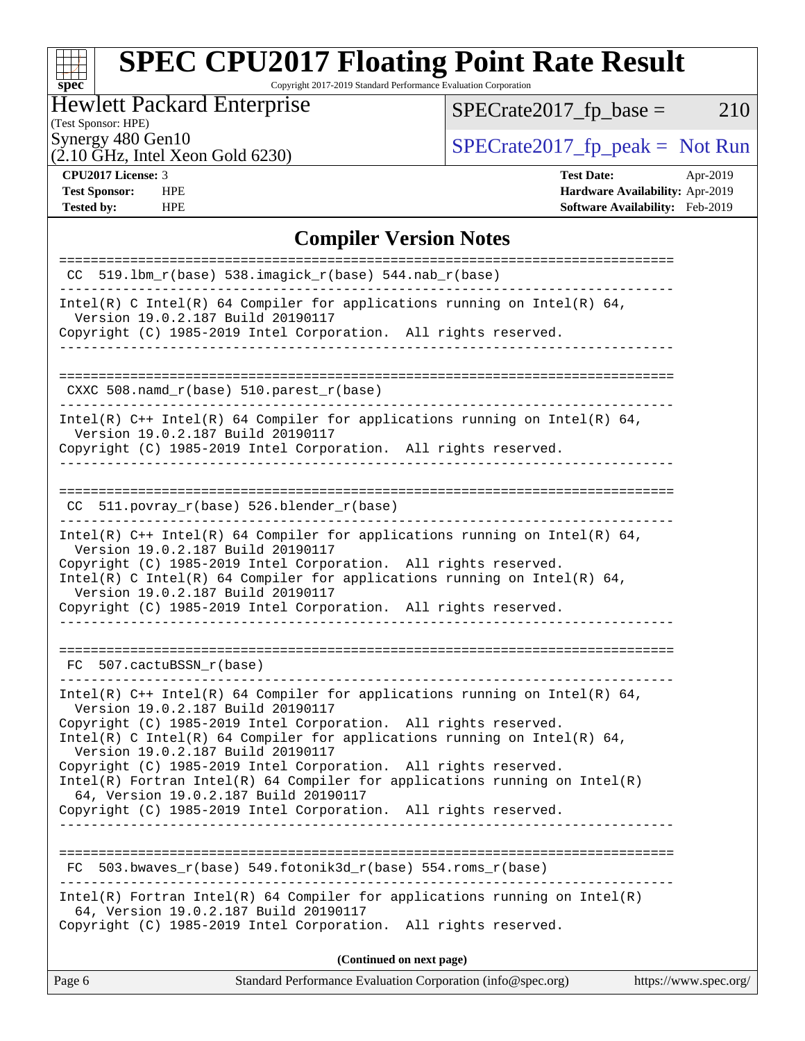# **[spec](http://www.spec.org/)**

# **[SPEC CPU2017 Floating Point Rate Result](http://www.spec.org/auto/cpu2017/Docs/result-fields.html#SPECCPU2017FloatingPointRateResult)**

Copyright 2017-2019 Standard Performance Evaluation Corporation

### Hewlett Packard Enterprise

 $SPECrate2017_fp\_base = 210$ 

### (Test Sponsor: HPE)

 $(2.10 \text{ GHz}, \text{Intel Xeon Gold } 6230)$ 

Synergy 480 Gen10<br>  $\begin{array}{c|c}\n\text{SPECTate2017\_fp\_peak} = \text{Not Run} \\
\hline\n\text{SPECTate2017\_fp\_peak} = \text{Not Run} \\
\end{array}$ 

**[Tested by:](http://www.spec.org/auto/cpu2017/Docs/result-fields.html#Testedby)** HPE **[Software Availability:](http://www.spec.org/auto/cpu2017/Docs/result-fields.html#SoftwareAvailability)** Feb-2019

**[CPU2017 License:](http://www.spec.org/auto/cpu2017/Docs/result-fields.html#CPU2017License)** 3 **[Test Date:](http://www.spec.org/auto/cpu2017/Docs/result-fields.html#TestDate)** Apr-2019 **[Test Sponsor:](http://www.spec.org/auto/cpu2017/Docs/result-fields.html#TestSponsor)** HPE **[Hardware Availability:](http://www.spec.org/auto/cpu2017/Docs/result-fields.html#HardwareAvailability)** Apr-2019

### **[Compiler Version Notes](http://www.spec.org/auto/cpu2017/Docs/result-fields.html#CompilerVersionNotes)**

| Standard Performance Evaluation Corporation (info@spec.org)<br>Page 6<br>https://www.spec.org/                                                                                              |
|---------------------------------------------------------------------------------------------------------------------------------------------------------------------------------------------|
| (Continued on next page)                                                                                                                                                                    |
| $Intel(R)$ Fortran Intel(R) 64 Compiler for applications running on Intel(R)<br>64, Version 19.0.2.187 Build 20190117<br>Copyright (C) 1985-2019 Intel Corporation.<br>All rights reserved. |
| $503.bwaves_r(base) 549.fotonik3d_r(base) 554.roms_r(base)$<br>FC                                                                                                                           |
| Copyright (C) 1985-2019 Intel Corporation. All rights reserved.                                                                                                                             |
| $Intel(R)$ Fortran Intel(R) 64 Compiler for applications running on Intel(R)<br>64, Version 19.0.2.187 Build 20190117                                                                       |
| Version 19.0.2.187 Build 20190117<br>Copyright (C) 1985-2019 Intel Corporation. All rights reserved.                                                                                        |
| Version 19.0.2.187 Build 20190117<br>Copyright (C) 1985-2019 Intel Corporation. All rights reserved.<br>Intel(R) C Intel(R) 64 Compiler for applications running on Intel(R) 64,            |
| Intel(R) $C++$ Intel(R) 64 Compiler for applications running on Intel(R) 64,                                                                                                                |
| FC 507.cactuBSSN r(base)                                                                                                                                                                    |
| Copyright (C) 1985-2019 Intel Corporation. All rights reserved.                                                                                                                             |
| Intel(R) C Intel(R) 64 Compiler for applications running on Intel(R) 64,<br>Version 19.0.2.187 Build 20190117                                                                               |
| Version 19.0.2.187 Build 20190117<br>Copyright (C) 1985-2019 Intel Corporation. All rights reserved.                                                                                        |
| Intel(R) $C++$ Intel(R) 64 Compiler for applications running on Intel(R) 64,                                                                                                                |
| $CC$ 511.povray_r(base) 526.blender_r(base)                                                                                                                                                 |
| Version 19.0.2.187 Build 20190117<br>Copyright (C) 1985-2019 Intel Corporation. All rights reserved.<br>------------------------------------                                                |
| Intel(R) $C++$ Intel(R) 64 Compiler for applications running on Intel(R) 64,                                                                                                                |
| CXXC 508.namd_r(base) 510.parest_r(base)                                                                                                                                                    |
|                                                                                                                                                                                             |
| Version 19.0.2.187 Build 20190117<br>Copyright (C) 1985-2019 Intel Corporation. All rights reserved.                                                                                        |
| Intel(R) C Intel(R) 64 Compiler for applications running on Intel(R) 64,                                                                                                                    |
| CC $519.1bm_r(base) 538.imagick_r(base) 544.nab_r(base)$                                                                                                                                    |
|                                                                                                                                                                                             |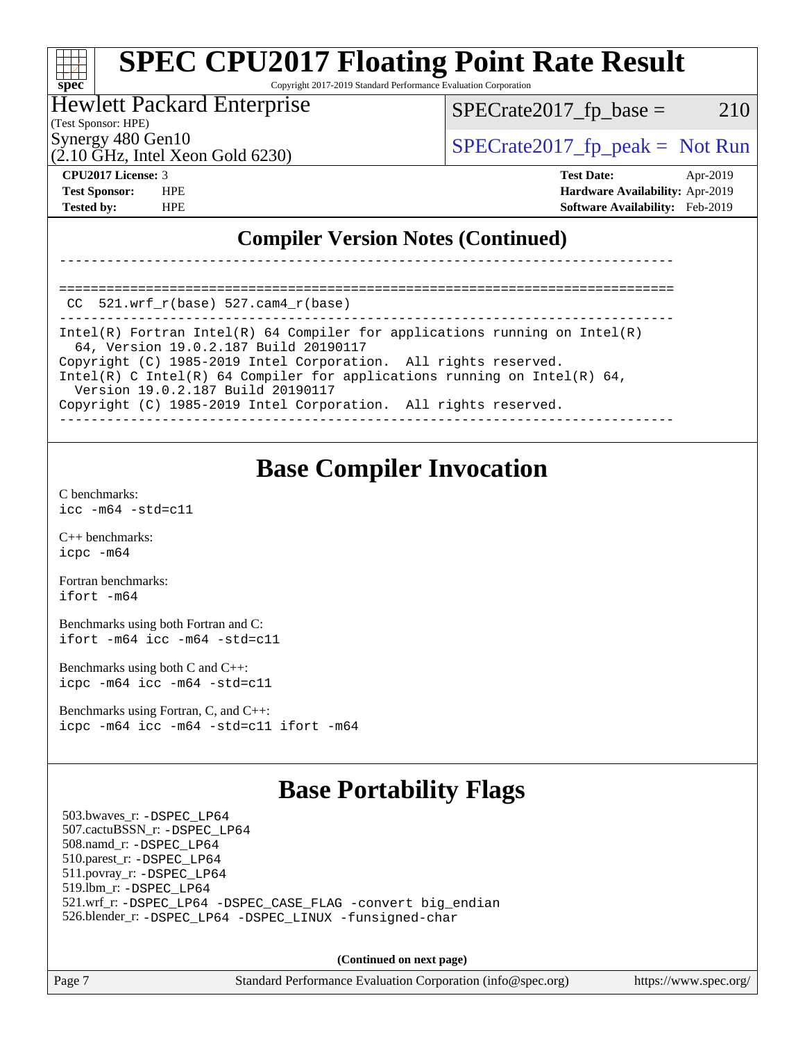### **[SPEC CPU2017 Floating Point Rate Result](http://www.spec.org/auto/cpu2017/Docs/result-fields.html#SPECCPU2017FloatingPointRateResult)** a ta ƙ **[spec](http://www.spec.org/)** Copyright 2017-2019 Standard Performance Evaluation Corporation

### Hewlett Packard Enterprise

 $SPECTate2017<sub>fr</sub> base = 210$ 

(Test Sponsor: HPE)

 $(2.10 \text{ GHz}, \text{Intel Xeon}$  Gold 6230)

Synergy 480 Gen10  $S^{perg}$  [SPECrate2017\\_fp\\_peak =](http://www.spec.org/auto/cpu2017/Docs/result-fields.html#SPECrate2017fppeak) Not Run

**[CPU2017 License:](http://www.spec.org/auto/cpu2017/Docs/result-fields.html#CPU2017License)** 3 **[Test Date:](http://www.spec.org/auto/cpu2017/Docs/result-fields.html#TestDate)** Apr-2019 **[Test Sponsor:](http://www.spec.org/auto/cpu2017/Docs/result-fields.html#TestSponsor)** HPE **[Hardware Availability:](http://www.spec.org/auto/cpu2017/Docs/result-fields.html#HardwareAvailability)** Apr-2019 **[Tested by:](http://www.spec.org/auto/cpu2017/Docs/result-fields.html#Testedby)** HPE **[Software Availability:](http://www.spec.org/auto/cpu2017/Docs/result-fields.html#SoftwareAvailability)** Feb-2019

### **[Compiler Version Notes \(Continued\)](http://www.spec.org/auto/cpu2017/Docs/result-fields.html#CompilerVersionNotes)**

==============================================================================  $CC$  521.wrf $r(base)$  527.cam $4$  $r(base)$ 

------------------------------------------------------------------------------ Intel(R) Fortran Intel(R) 64 Compiler for applications running on Intel(R) 64, Version 19.0.2.187 Build 20190117 Copyright (C) 1985-2019 Intel Corporation. All rights reserved. Intel(R) C Intel(R) 64 Compiler for applications running on Intel(R) 64, Version 19.0.2.187 Build 20190117 Copyright (C) 1985-2019 Intel Corporation. All rights reserved. ------------------------------------------------------------------------------

------------------------------------------------------------------------------

### **[Base Compiler Invocation](http://www.spec.org/auto/cpu2017/Docs/result-fields.html#BaseCompilerInvocation)**

[C benchmarks](http://www.spec.org/auto/cpu2017/Docs/result-fields.html#Cbenchmarks): [icc -m64 -std=c11](http://www.spec.org/cpu2017/results/res2019q2/cpu2017-20190429-13083.flags.html#user_CCbase_intel_icc_64bit_c11_33ee0cdaae7deeeab2a9725423ba97205ce30f63b9926c2519791662299b76a0318f32ddfffdc46587804de3178b4f9328c46fa7c2b0cd779d7a61945c91cd35)

[C++ benchmarks:](http://www.spec.org/auto/cpu2017/Docs/result-fields.html#CXXbenchmarks) [icpc -m64](http://www.spec.org/cpu2017/results/res2019q2/cpu2017-20190429-13083.flags.html#user_CXXbase_intel_icpc_64bit_4ecb2543ae3f1412ef961e0650ca070fec7b7afdcd6ed48761b84423119d1bf6bdf5cad15b44d48e7256388bc77273b966e5eb805aefd121eb22e9299b2ec9d9)

[Fortran benchmarks](http://www.spec.org/auto/cpu2017/Docs/result-fields.html#Fortranbenchmarks): [ifort -m64](http://www.spec.org/cpu2017/results/res2019q2/cpu2017-20190429-13083.flags.html#user_FCbase_intel_ifort_64bit_24f2bb282fbaeffd6157abe4f878425411749daecae9a33200eee2bee2fe76f3b89351d69a8130dd5949958ce389cf37ff59a95e7a40d588e8d3a57e0c3fd751)

[Benchmarks using both Fortran and C](http://www.spec.org/auto/cpu2017/Docs/result-fields.html#BenchmarksusingbothFortranandC): [ifort -m64](http://www.spec.org/cpu2017/results/res2019q2/cpu2017-20190429-13083.flags.html#user_CC_FCbase_intel_ifort_64bit_24f2bb282fbaeffd6157abe4f878425411749daecae9a33200eee2bee2fe76f3b89351d69a8130dd5949958ce389cf37ff59a95e7a40d588e8d3a57e0c3fd751) [icc -m64 -std=c11](http://www.spec.org/cpu2017/results/res2019q2/cpu2017-20190429-13083.flags.html#user_CC_FCbase_intel_icc_64bit_c11_33ee0cdaae7deeeab2a9725423ba97205ce30f63b9926c2519791662299b76a0318f32ddfffdc46587804de3178b4f9328c46fa7c2b0cd779d7a61945c91cd35)

[Benchmarks using both C and C++](http://www.spec.org/auto/cpu2017/Docs/result-fields.html#BenchmarksusingbothCandCXX): [icpc -m64](http://www.spec.org/cpu2017/results/res2019q2/cpu2017-20190429-13083.flags.html#user_CC_CXXbase_intel_icpc_64bit_4ecb2543ae3f1412ef961e0650ca070fec7b7afdcd6ed48761b84423119d1bf6bdf5cad15b44d48e7256388bc77273b966e5eb805aefd121eb22e9299b2ec9d9) [icc -m64 -std=c11](http://www.spec.org/cpu2017/results/res2019q2/cpu2017-20190429-13083.flags.html#user_CC_CXXbase_intel_icc_64bit_c11_33ee0cdaae7deeeab2a9725423ba97205ce30f63b9926c2519791662299b76a0318f32ddfffdc46587804de3178b4f9328c46fa7c2b0cd779d7a61945c91cd35)

[Benchmarks using Fortran, C, and C++:](http://www.spec.org/auto/cpu2017/Docs/result-fields.html#BenchmarksusingFortranCandCXX) [icpc -m64](http://www.spec.org/cpu2017/results/res2019q2/cpu2017-20190429-13083.flags.html#user_CC_CXX_FCbase_intel_icpc_64bit_4ecb2543ae3f1412ef961e0650ca070fec7b7afdcd6ed48761b84423119d1bf6bdf5cad15b44d48e7256388bc77273b966e5eb805aefd121eb22e9299b2ec9d9) [icc -m64 -std=c11](http://www.spec.org/cpu2017/results/res2019q2/cpu2017-20190429-13083.flags.html#user_CC_CXX_FCbase_intel_icc_64bit_c11_33ee0cdaae7deeeab2a9725423ba97205ce30f63b9926c2519791662299b76a0318f32ddfffdc46587804de3178b4f9328c46fa7c2b0cd779d7a61945c91cd35) [ifort -m64](http://www.spec.org/cpu2017/results/res2019q2/cpu2017-20190429-13083.flags.html#user_CC_CXX_FCbase_intel_ifort_64bit_24f2bb282fbaeffd6157abe4f878425411749daecae9a33200eee2bee2fe76f3b89351d69a8130dd5949958ce389cf37ff59a95e7a40d588e8d3a57e0c3fd751)

## **[Base Portability Flags](http://www.spec.org/auto/cpu2017/Docs/result-fields.html#BasePortabilityFlags)**

 503.bwaves\_r: [-DSPEC\\_LP64](http://www.spec.org/cpu2017/results/res2019q2/cpu2017-20190429-13083.flags.html#suite_basePORTABILITY503_bwaves_r_DSPEC_LP64) 507.cactuBSSN\_r: [-DSPEC\\_LP64](http://www.spec.org/cpu2017/results/res2019q2/cpu2017-20190429-13083.flags.html#suite_basePORTABILITY507_cactuBSSN_r_DSPEC_LP64) 508.namd\_r: [-DSPEC\\_LP64](http://www.spec.org/cpu2017/results/res2019q2/cpu2017-20190429-13083.flags.html#suite_basePORTABILITY508_namd_r_DSPEC_LP64) 510.parest\_r: [-DSPEC\\_LP64](http://www.spec.org/cpu2017/results/res2019q2/cpu2017-20190429-13083.flags.html#suite_basePORTABILITY510_parest_r_DSPEC_LP64) 511.povray\_r: [-DSPEC\\_LP64](http://www.spec.org/cpu2017/results/res2019q2/cpu2017-20190429-13083.flags.html#suite_basePORTABILITY511_povray_r_DSPEC_LP64) 519.lbm\_r: [-DSPEC\\_LP64](http://www.spec.org/cpu2017/results/res2019q2/cpu2017-20190429-13083.flags.html#suite_basePORTABILITY519_lbm_r_DSPEC_LP64) 521.wrf\_r: [-DSPEC\\_LP64](http://www.spec.org/cpu2017/results/res2019q2/cpu2017-20190429-13083.flags.html#suite_basePORTABILITY521_wrf_r_DSPEC_LP64) [-DSPEC\\_CASE\\_FLAG](http://www.spec.org/cpu2017/results/res2019q2/cpu2017-20190429-13083.flags.html#b521.wrf_r_baseCPORTABILITY_DSPEC_CASE_FLAG) [-convert big\\_endian](http://www.spec.org/cpu2017/results/res2019q2/cpu2017-20190429-13083.flags.html#user_baseFPORTABILITY521_wrf_r_convert_big_endian_c3194028bc08c63ac5d04de18c48ce6d347e4e562e8892b8bdbdc0214820426deb8554edfa529a3fb25a586e65a3d812c835984020483e7e73212c4d31a38223) 526.blender\_r: [-DSPEC\\_LP64](http://www.spec.org/cpu2017/results/res2019q2/cpu2017-20190429-13083.flags.html#suite_basePORTABILITY526_blender_r_DSPEC_LP64) [-DSPEC\\_LINUX](http://www.spec.org/cpu2017/results/res2019q2/cpu2017-20190429-13083.flags.html#b526.blender_r_baseCPORTABILITY_DSPEC_LINUX) [-funsigned-char](http://www.spec.org/cpu2017/results/res2019q2/cpu2017-20190429-13083.flags.html#user_baseCPORTABILITY526_blender_r_force_uchar_40c60f00ab013830e2dd6774aeded3ff59883ba5a1fc5fc14077f794d777847726e2a5858cbc7672e36e1b067e7e5c1d9a74f7176df07886a243d7cc18edfe67)

**(Continued on next page)**

Page 7 Standard Performance Evaluation Corporation [\(info@spec.org\)](mailto:info@spec.org) <https://www.spec.org/>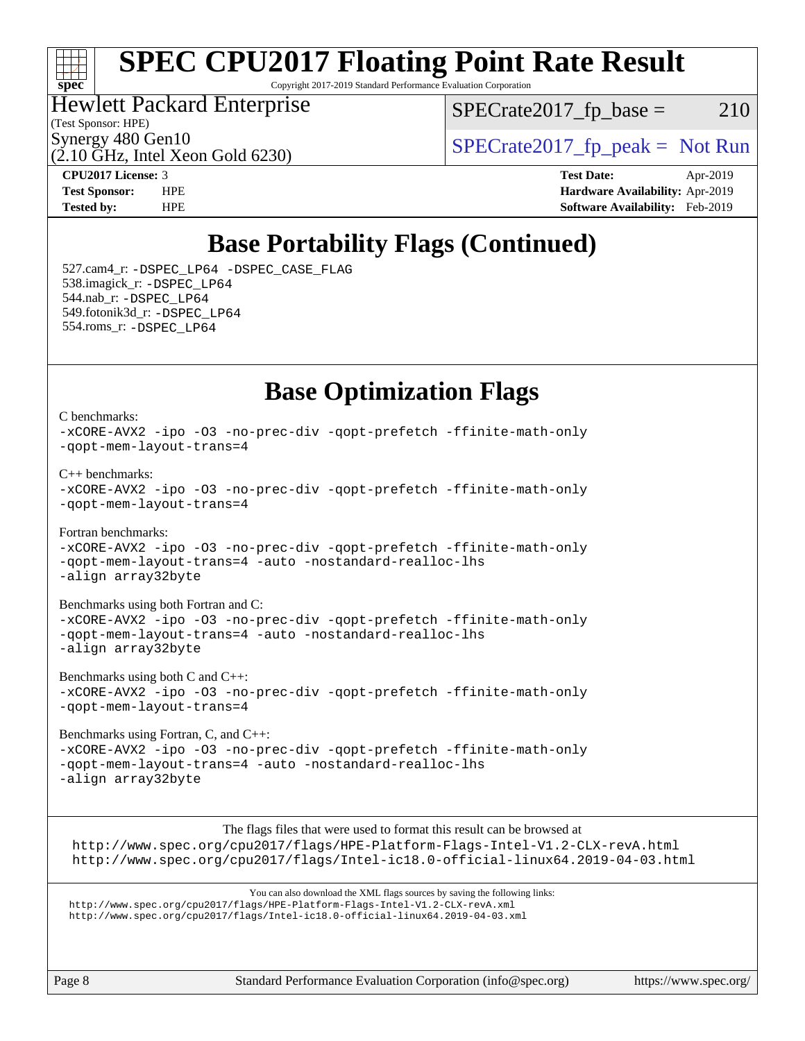### $\pm\pm\tau$ **[spec](http://www.spec.org/)**

# **[SPEC CPU2017 Floating Point Rate Result](http://www.spec.org/auto/cpu2017/Docs/result-fields.html#SPECCPU2017FloatingPointRateResult)**

Copyright 2017-2019 Standard Performance Evaluation Corporation

### Hewlett Packard Enterprise

 $SPECTate2017<sub>fr</sub> base = 210$ 

(Test Sponsor: HPE)

 $(2.10 \text{ GHz}, \text{Intel Xeon}$  Gold 6230)

Synergy 480 Gen10<br>  $SPECrate2017$  fp\_peak = Not Run

[C benchmarks](http://www.spec.org/auto/cpu2017/Docs/result-fields.html#Cbenchmarks):

**[CPU2017 License:](http://www.spec.org/auto/cpu2017/Docs/result-fields.html#CPU2017License)** 3 **[Test Date:](http://www.spec.org/auto/cpu2017/Docs/result-fields.html#TestDate)** Apr-2019 **[Test Sponsor:](http://www.spec.org/auto/cpu2017/Docs/result-fields.html#TestSponsor)** HPE **[Hardware Availability:](http://www.spec.org/auto/cpu2017/Docs/result-fields.html#HardwareAvailability)** Apr-2019 **[Tested by:](http://www.spec.org/auto/cpu2017/Docs/result-fields.html#Testedby)** HPE **[Software Availability:](http://www.spec.org/auto/cpu2017/Docs/result-fields.html#SoftwareAvailability)** Feb-2019

## **[Base Portability Flags \(Continued\)](http://www.spec.org/auto/cpu2017/Docs/result-fields.html#BasePortabilityFlags)**

 527.cam4\_r: [-DSPEC\\_LP64](http://www.spec.org/cpu2017/results/res2019q2/cpu2017-20190429-13083.flags.html#suite_basePORTABILITY527_cam4_r_DSPEC_LP64) [-DSPEC\\_CASE\\_FLAG](http://www.spec.org/cpu2017/results/res2019q2/cpu2017-20190429-13083.flags.html#b527.cam4_r_baseCPORTABILITY_DSPEC_CASE_FLAG) 538.imagick\_r: [-DSPEC\\_LP64](http://www.spec.org/cpu2017/results/res2019q2/cpu2017-20190429-13083.flags.html#suite_basePORTABILITY538_imagick_r_DSPEC_LP64) 544.nab\_r: [-DSPEC\\_LP64](http://www.spec.org/cpu2017/results/res2019q2/cpu2017-20190429-13083.flags.html#suite_basePORTABILITY544_nab_r_DSPEC_LP64) 549.fotonik3d\_r: [-DSPEC\\_LP64](http://www.spec.org/cpu2017/results/res2019q2/cpu2017-20190429-13083.flags.html#suite_basePORTABILITY549_fotonik3d_r_DSPEC_LP64) 554.roms\_r: [-DSPEC\\_LP64](http://www.spec.org/cpu2017/results/res2019q2/cpu2017-20190429-13083.flags.html#suite_basePORTABILITY554_roms_r_DSPEC_LP64)

### **[Base Optimization Flags](http://www.spec.org/auto/cpu2017/Docs/result-fields.html#BaseOptimizationFlags)**

[-xCORE-AVX2](http://www.spec.org/cpu2017/results/res2019q2/cpu2017-20190429-13083.flags.html#user_CCbase_f-xCORE-AVX2) [-ipo](http://www.spec.org/cpu2017/results/res2019q2/cpu2017-20190429-13083.flags.html#user_CCbase_f-ipo) [-O3](http://www.spec.org/cpu2017/results/res2019q2/cpu2017-20190429-13083.flags.html#user_CCbase_f-O3) [-no-prec-div](http://www.spec.org/cpu2017/results/res2019q2/cpu2017-20190429-13083.flags.html#user_CCbase_f-no-prec-div) [-qopt-prefetch](http://www.spec.org/cpu2017/results/res2019q2/cpu2017-20190429-13083.flags.html#user_CCbase_f-qopt-prefetch) [-ffinite-math-only](http://www.spec.org/cpu2017/results/res2019q2/cpu2017-20190429-13083.flags.html#user_CCbase_f_finite_math_only_cb91587bd2077682c4b38af759c288ed7c732db004271a9512da14a4f8007909a5f1427ecbf1a0fb78ff2a814402c6114ac565ca162485bbcae155b5e4258871) [-qopt-mem-layout-trans=4](http://www.spec.org/cpu2017/results/res2019q2/cpu2017-20190429-13083.flags.html#user_CCbase_f-qopt-mem-layout-trans_fa39e755916c150a61361b7846f310bcdf6f04e385ef281cadf3647acec3f0ae266d1a1d22d972a7087a248fd4e6ca390a3634700869573d231a252c784941a8) [C++ benchmarks:](http://www.spec.org/auto/cpu2017/Docs/result-fields.html#CXXbenchmarks) [-xCORE-AVX2](http://www.spec.org/cpu2017/results/res2019q2/cpu2017-20190429-13083.flags.html#user_CXXbase_f-xCORE-AVX2) [-ipo](http://www.spec.org/cpu2017/results/res2019q2/cpu2017-20190429-13083.flags.html#user_CXXbase_f-ipo) [-O3](http://www.spec.org/cpu2017/results/res2019q2/cpu2017-20190429-13083.flags.html#user_CXXbase_f-O3) [-no-prec-div](http://www.spec.org/cpu2017/results/res2019q2/cpu2017-20190429-13083.flags.html#user_CXXbase_f-no-prec-div) [-qopt-prefetch](http://www.spec.org/cpu2017/results/res2019q2/cpu2017-20190429-13083.flags.html#user_CXXbase_f-qopt-prefetch) [-ffinite-math-only](http://www.spec.org/cpu2017/results/res2019q2/cpu2017-20190429-13083.flags.html#user_CXXbase_f_finite_math_only_cb91587bd2077682c4b38af759c288ed7c732db004271a9512da14a4f8007909a5f1427ecbf1a0fb78ff2a814402c6114ac565ca162485bbcae155b5e4258871) [-qopt-mem-layout-trans=4](http://www.spec.org/cpu2017/results/res2019q2/cpu2017-20190429-13083.flags.html#user_CXXbase_f-qopt-mem-layout-trans_fa39e755916c150a61361b7846f310bcdf6f04e385ef281cadf3647acec3f0ae266d1a1d22d972a7087a248fd4e6ca390a3634700869573d231a252c784941a8) [Fortran benchmarks](http://www.spec.org/auto/cpu2017/Docs/result-fields.html#Fortranbenchmarks):

[-xCORE-AVX2](http://www.spec.org/cpu2017/results/res2019q2/cpu2017-20190429-13083.flags.html#user_FCbase_f-xCORE-AVX2) [-ipo](http://www.spec.org/cpu2017/results/res2019q2/cpu2017-20190429-13083.flags.html#user_FCbase_f-ipo) [-O3](http://www.spec.org/cpu2017/results/res2019q2/cpu2017-20190429-13083.flags.html#user_FCbase_f-O3) [-no-prec-div](http://www.spec.org/cpu2017/results/res2019q2/cpu2017-20190429-13083.flags.html#user_FCbase_f-no-prec-div) [-qopt-prefetch](http://www.spec.org/cpu2017/results/res2019q2/cpu2017-20190429-13083.flags.html#user_FCbase_f-qopt-prefetch) [-ffinite-math-only](http://www.spec.org/cpu2017/results/res2019q2/cpu2017-20190429-13083.flags.html#user_FCbase_f_finite_math_only_cb91587bd2077682c4b38af759c288ed7c732db004271a9512da14a4f8007909a5f1427ecbf1a0fb78ff2a814402c6114ac565ca162485bbcae155b5e4258871) [-qopt-mem-layout-trans=4](http://www.spec.org/cpu2017/results/res2019q2/cpu2017-20190429-13083.flags.html#user_FCbase_f-qopt-mem-layout-trans_fa39e755916c150a61361b7846f310bcdf6f04e385ef281cadf3647acec3f0ae266d1a1d22d972a7087a248fd4e6ca390a3634700869573d231a252c784941a8) [-auto](http://www.spec.org/cpu2017/results/res2019q2/cpu2017-20190429-13083.flags.html#user_FCbase_f-auto) [-nostandard-realloc-lhs](http://www.spec.org/cpu2017/results/res2019q2/cpu2017-20190429-13083.flags.html#user_FCbase_f_2003_std_realloc_82b4557e90729c0f113870c07e44d33d6f5a304b4f63d4c15d2d0f1fab99f5daaed73bdb9275d9ae411527f28b936061aa8b9c8f2d63842963b95c9dd6426b8a) [-align array32byte](http://www.spec.org/cpu2017/results/res2019q2/cpu2017-20190429-13083.flags.html#user_FCbase_align_array32byte_b982fe038af199962ba9a80c053b8342c548c85b40b8e86eb3cc33dee0d7986a4af373ac2d51c3f7cf710a18d62fdce2948f201cd044323541f22fc0fffc51b6)

[Benchmarks using both Fortran and C](http://www.spec.org/auto/cpu2017/Docs/result-fields.html#BenchmarksusingbothFortranandC): [-xCORE-AVX2](http://www.spec.org/cpu2017/results/res2019q2/cpu2017-20190429-13083.flags.html#user_CC_FCbase_f-xCORE-AVX2) [-ipo](http://www.spec.org/cpu2017/results/res2019q2/cpu2017-20190429-13083.flags.html#user_CC_FCbase_f-ipo) [-O3](http://www.spec.org/cpu2017/results/res2019q2/cpu2017-20190429-13083.flags.html#user_CC_FCbase_f-O3) [-no-prec-div](http://www.spec.org/cpu2017/results/res2019q2/cpu2017-20190429-13083.flags.html#user_CC_FCbase_f-no-prec-div) [-qopt-prefetch](http://www.spec.org/cpu2017/results/res2019q2/cpu2017-20190429-13083.flags.html#user_CC_FCbase_f-qopt-prefetch) [-ffinite-math-only](http://www.spec.org/cpu2017/results/res2019q2/cpu2017-20190429-13083.flags.html#user_CC_FCbase_f_finite_math_only_cb91587bd2077682c4b38af759c288ed7c732db004271a9512da14a4f8007909a5f1427ecbf1a0fb78ff2a814402c6114ac565ca162485bbcae155b5e4258871) [-qopt-mem-layout-trans=4](http://www.spec.org/cpu2017/results/res2019q2/cpu2017-20190429-13083.flags.html#user_CC_FCbase_f-qopt-mem-layout-trans_fa39e755916c150a61361b7846f310bcdf6f04e385ef281cadf3647acec3f0ae266d1a1d22d972a7087a248fd4e6ca390a3634700869573d231a252c784941a8) [-auto](http://www.spec.org/cpu2017/results/res2019q2/cpu2017-20190429-13083.flags.html#user_CC_FCbase_f-auto) [-nostandard-realloc-lhs](http://www.spec.org/cpu2017/results/res2019q2/cpu2017-20190429-13083.flags.html#user_CC_FCbase_f_2003_std_realloc_82b4557e90729c0f113870c07e44d33d6f5a304b4f63d4c15d2d0f1fab99f5daaed73bdb9275d9ae411527f28b936061aa8b9c8f2d63842963b95c9dd6426b8a) [-align array32byte](http://www.spec.org/cpu2017/results/res2019q2/cpu2017-20190429-13083.flags.html#user_CC_FCbase_align_array32byte_b982fe038af199962ba9a80c053b8342c548c85b40b8e86eb3cc33dee0d7986a4af373ac2d51c3f7cf710a18d62fdce2948f201cd044323541f22fc0fffc51b6)

[Benchmarks using both C and C++](http://www.spec.org/auto/cpu2017/Docs/result-fields.html#BenchmarksusingbothCandCXX): [-xCORE-AVX2](http://www.spec.org/cpu2017/results/res2019q2/cpu2017-20190429-13083.flags.html#user_CC_CXXbase_f-xCORE-AVX2) [-ipo](http://www.spec.org/cpu2017/results/res2019q2/cpu2017-20190429-13083.flags.html#user_CC_CXXbase_f-ipo) [-O3](http://www.spec.org/cpu2017/results/res2019q2/cpu2017-20190429-13083.flags.html#user_CC_CXXbase_f-O3) [-no-prec-div](http://www.spec.org/cpu2017/results/res2019q2/cpu2017-20190429-13083.flags.html#user_CC_CXXbase_f-no-prec-div) [-qopt-prefetch](http://www.spec.org/cpu2017/results/res2019q2/cpu2017-20190429-13083.flags.html#user_CC_CXXbase_f-qopt-prefetch) [-ffinite-math-only](http://www.spec.org/cpu2017/results/res2019q2/cpu2017-20190429-13083.flags.html#user_CC_CXXbase_f_finite_math_only_cb91587bd2077682c4b38af759c288ed7c732db004271a9512da14a4f8007909a5f1427ecbf1a0fb78ff2a814402c6114ac565ca162485bbcae155b5e4258871) [-qopt-mem-layout-trans=4](http://www.spec.org/cpu2017/results/res2019q2/cpu2017-20190429-13083.flags.html#user_CC_CXXbase_f-qopt-mem-layout-trans_fa39e755916c150a61361b7846f310bcdf6f04e385ef281cadf3647acec3f0ae266d1a1d22d972a7087a248fd4e6ca390a3634700869573d231a252c784941a8)

[Benchmarks using Fortran, C, and C++:](http://www.spec.org/auto/cpu2017/Docs/result-fields.html#BenchmarksusingFortranCandCXX) [-xCORE-AVX2](http://www.spec.org/cpu2017/results/res2019q2/cpu2017-20190429-13083.flags.html#user_CC_CXX_FCbase_f-xCORE-AVX2) [-ipo](http://www.spec.org/cpu2017/results/res2019q2/cpu2017-20190429-13083.flags.html#user_CC_CXX_FCbase_f-ipo) [-O3](http://www.spec.org/cpu2017/results/res2019q2/cpu2017-20190429-13083.flags.html#user_CC_CXX_FCbase_f-O3) [-no-prec-div](http://www.spec.org/cpu2017/results/res2019q2/cpu2017-20190429-13083.flags.html#user_CC_CXX_FCbase_f-no-prec-div) [-qopt-prefetch](http://www.spec.org/cpu2017/results/res2019q2/cpu2017-20190429-13083.flags.html#user_CC_CXX_FCbase_f-qopt-prefetch) [-ffinite-math-only](http://www.spec.org/cpu2017/results/res2019q2/cpu2017-20190429-13083.flags.html#user_CC_CXX_FCbase_f_finite_math_only_cb91587bd2077682c4b38af759c288ed7c732db004271a9512da14a4f8007909a5f1427ecbf1a0fb78ff2a814402c6114ac565ca162485bbcae155b5e4258871) [-qopt-mem-layout-trans=4](http://www.spec.org/cpu2017/results/res2019q2/cpu2017-20190429-13083.flags.html#user_CC_CXX_FCbase_f-qopt-mem-layout-trans_fa39e755916c150a61361b7846f310bcdf6f04e385ef281cadf3647acec3f0ae266d1a1d22d972a7087a248fd4e6ca390a3634700869573d231a252c784941a8) [-auto](http://www.spec.org/cpu2017/results/res2019q2/cpu2017-20190429-13083.flags.html#user_CC_CXX_FCbase_f-auto) [-nostandard-realloc-lhs](http://www.spec.org/cpu2017/results/res2019q2/cpu2017-20190429-13083.flags.html#user_CC_CXX_FCbase_f_2003_std_realloc_82b4557e90729c0f113870c07e44d33d6f5a304b4f63d4c15d2d0f1fab99f5daaed73bdb9275d9ae411527f28b936061aa8b9c8f2d63842963b95c9dd6426b8a) [-align array32byte](http://www.spec.org/cpu2017/results/res2019q2/cpu2017-20190429-13083.flags.html#user_CC_CXX_FCbase_align_array32byte_b982fe038af199962ba9a80c053b8342c548c85b40b8e86eb3cc33dee0d7986a4af373ac2d51c3f7cf710a18d62fdce2948f201cd044323541f22fc0fffc51b6)

The flags files that were used to format this result can be browsed at <http://www.spec.org/cpu2017/flags/HPE-Platform-Flags-Intel-V1.2-CLX-revA.html> <http://www.spec.org/cpu2017/flags/Intel-ic18.0-official-linux64.2019-04-03.html>

You can also download the XML flags sources by saving the following links: <http://www.spec.org/cpu2017/flags/HPE-Platform-Flags-Intel-V1.2-CLX-revA.xml> <http://www.spec.org/cpu2017/flags/Intel-ic18.0-official-linux64.2019-04-03.xml>